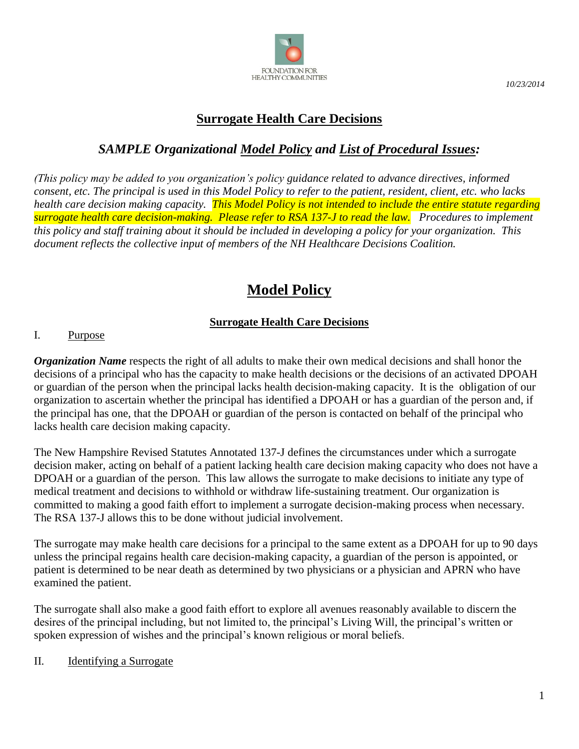

*10/23/2014*

# **Surrogate Health Care Decisions**

# *SAMPLE Organizational Model Policy and List of Procedural Issues:*

*(This policy may be added to you organization's policy guidance related to advance directives, informed consent, etc. The principal is used in this Model Policy to refer to the patient, resident, client, etc. who lacks health care decision making capacity. This Model Policy is not intended to include the entire statute regarding surrogate health care decision-making. Please refer to RSA 137-J to read the law. Procedures to implement this policy and staff training about it should be included in developing a policy for your organization. This document reflects the collective input of members of the NH Healthcare Decisions Coalition.* 

# **Model Policy**

## **Surrogate Health Care Decisions**

### I. Purpose

*Organization Name* respects the right of all adults to make their own medical decisions and shall honor the decisions of a principal who has the capacity to make health decisions or the decisions of an activated DPOAH or guardian of the person when the principal lacks health decision-making capacity. It is the obligation of our organization to ascertain whether the principal has identified a DPOAH or has a guardian of the person and, if the principal has one, that the DPOAH or guardian of the person is contacted on behalf of the principal who lacks health care decision making capacity.

The New Hampshire Revised Statutes Annotated 137-J defines the circumstances under which a surrogate decision maker, acting on behalf of a patient lacking health care decision making capacity who does not have a DPOAH or a guardian of the person. This law allows the surrogate to make decisions to initiate any type of medical treatment and decisions to withhold or withdraw life-sustaining treatment. Our organization is committed to making a good faith effort to implement a surrogate decision-making process when necessary. The RSA 137-J allows this to be done without judicial involvement.

The surrogate may make health care decisions for a principal to the same extent as a DPOAH for up to 90 days unless the principal regains health care decision-making capacity, a guardian of the person is appointed, or patient is determined to be near death as determined by two physicians or a physician and APRN who have examined the patient.

The surrogate shall also make a good faith effort to explore all avenues reasonably available to discern the desires of the principal including, but not limited to, the principal's Living Will, the principal's written or spoken expression of wishes and the principal's known religious or moral beliefs.

### II. Identifying a Surrogate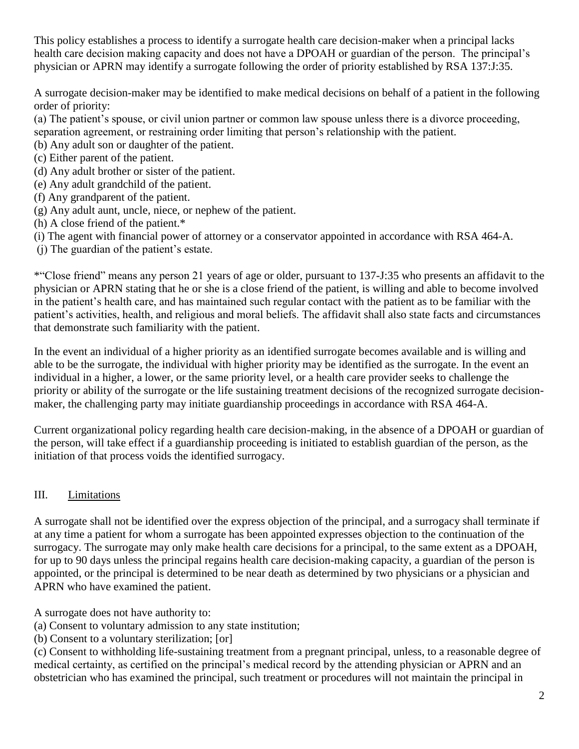This policy establishes a process to identify a surrogate health care decision-maker when a principal lacks health care decision making capacity and does not have a DPOAH or guardian of the person. The principal's physician or APRN may identify a surrogate following the order of priority established by RSA 137:J:35.

A surrogate decision-maker may be identified to make medical decisions on behalf of a patient in the following order of priority:

(a) The patient's spouse, or civil union partner or common law spouse unless there is a divorce proceeding, separation agreement, or restraining order limiting that person's relationship with the patient.

- (b) Any adult son or daughter of the patient.
- (c) Either parent of the patient.
- (d) Any adult brother or sister of the patient.
- (e) Any adult grandchild of the patient.
- (f) Any grandparent of the patient.
- (g) Any adult aunt, uncle, niece, or nephew of the patient.
- (h) A close friend of the patient.\*
- (i) The agent with financial power of attorney or a conservator appointed in accordance with RSA 464-A.
- (j) The guardian of the patient's estate.

\*"Close friend" means any person 21 years of age or older, pursuant to 137-J:35 who presents an affidavit to the physician or APRN stating that he or she is a close friend of the patient, is willing and able to become involved in the patient's health care, and has maintained such regular contact with the patient as to be familiar with the patient's activities, health, and religious and moral beliefs. The affidavit shall also state facts and circumstances that demonstrate such familiarity with the patient.

In the event an individual of a higher priority as an identified surrogate becomes available and is willing and able to be the surrogate, the individual with higher priority may be identified as the surrogate. In the event an individual in a higher, a lower, or the same priority level, or a health care provider seeks to challenge the priority or ability of the surrogate or the life sustaining treatment decisions of the recognized surrogate decisionmaker, the challenging party may initiate guardianship proceedings in accordance with RSA 464-A.

Current organizational policy regarding health care decision-making, in the absence of a DPOAH or guardian of the person, will take effect if a guardianship proceeding is initiated to establish guardian of the person, as the initiation of that process voids the identified surrogacy.

### III. Limitations

A surrogate shall not be identified over the express objection of the principal, and a surrogacy shall terminate if at any time a patient for whom a surrogate has been appointed expresses objection to the continuation of the surrogacy. The surrogate may only make health care decisions for a principal, to the same extent as a DPOAH, for up to 90 days unless the principal regains health care decision-making capacity, a guardian of the person is appointed, or the principal is determined to be near death as determined by two physicians or a physician and APRN who have examined the patient.

A surrogate does not have authority to:

(a) Consent to voluntary admission to any state institution;

(b) Consent to a voluntary sterilization; [or]

(c) Consent to withholding life-sustaining treatment from a pregnant principal, unless, to a reasonable degree of medical certainty, as certified on the principal's medical record by the attending physician or APRN and an obstetrician who has examined the principal, such treatment or procedures will not maintain the principal in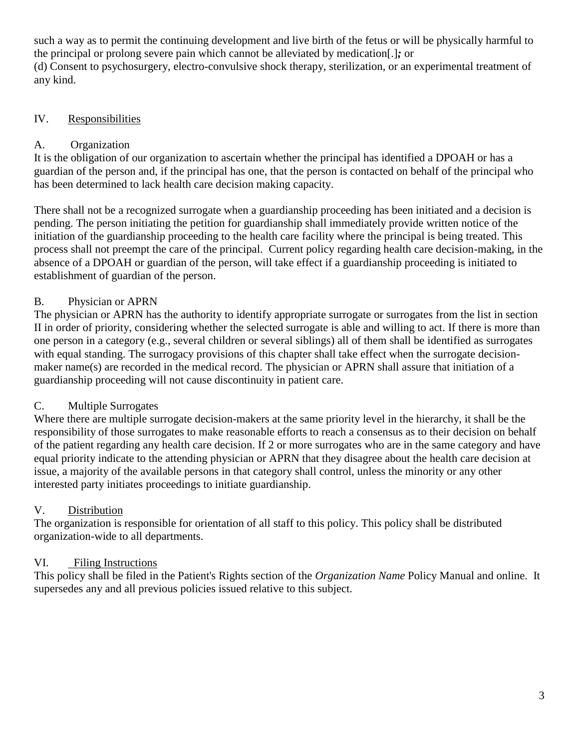such a way as to permit the continuing development and live birth of the fetus or will be physically harmful to the principal or prolong severe pain which cannot be alleviated by medication[.]*;* or (d) Consent to psychosurgery, electro-convulsive shock therapy, sterilization, or an experimental treatment of any kind.

### IV. Responsibilities

### A. Organization

It is the obligation of our organization to ascertain whether the principal has identified a DPOAH or has a guardian of the person and, if the principal has one, that the person is contacted on behalf of the principal who has been determined to lack health care decision making capacity.

There shall not be a recognized surrogate when a guardianship proceeding has been initiated and a decision is pending. The person initiating the petition for guardianship shall immediately provide written notice of the initiation of the guardianship proceeding to the health care facility where the principal is being treated. This process shall not preempt the care of the principal. Current policy regarding health care decision-making, in the absence of a DPOAH or guardian of the person, will take effect if a guardianship proceeding is initiated to establishment of guardian of the person.

### B. Physician or APRN

The physician or APRN has the authority to identify appropriate surrogate or surrogates from the list in section II in order of priority, considering whether the selected surrogate is able and willing to act. If there is more than one person in a category (e.g., several children or several siblings) all of them shall be identified as surrogates with equal standing. The surrogacy provisions of this chapter shall take effect when the surrogate decisionmaker name(s) are recorded in the medical record. The physician or APRN shall assure that initiation of a guardianship proceeding will not cause discontinuity in patient care.

### C. Multiple Surrogates

Where there are multiple surrogate decision-makers at the same priority level in the hierarchy, it shall be the responsibility of those surrogates to make reasonable efforts to reach a consensus as to their decision on behalf of the patient regarding any health care decision. If 2 or more surrogates who are in the same category and have equal priority indicate to the attending physician or APRN that they disagree about the health care decision at issue, a majority of the available persons in that category shall control, unless the minority or any other interested party initiates proceedings to initiate guardianship.

### V. Distribution

The organization is responsible for orientation of all staff to this policy. This policy shall be distributed organization-wide to all departments.

### VI. Filing Instructions

This policy shall be filed in the Patient's Rights section of the *Organization Name* Policy Manual and online. It supersedes any and all previous policies issued relative to this subject.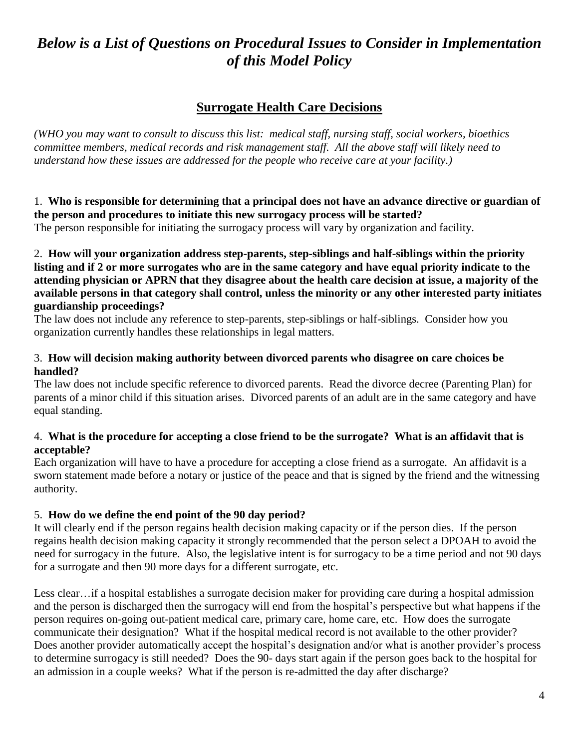# *Below is a List of Questions on Procedural Issues to Consider in Implementation of this Model Policy*

## **Surrogate Health Care Decisions**

*(WHO you may want to consult to discuss this list: medical staff, nursing staff, social workers, bioethics committee members, medical records and risk management staff. All the above staff will likely need to understand how these issues are addressed for the people who receive care at your facility.)*

### 1. **Who is responsible for determining that a principal does not have an advance directive or guardian of the person and procedures to initiate this new surrogacy process will be started?**

The person responsible for initiating the surrogacy process will vary by organization and facility.

2. **How will your organization address step-parents, step-siblings and half-siblings within the priority listing and if 2 or more surrogates who are in the same category and have equal priority indicate to the attending physician or APRN that they disagree about the health care decision at issue, a majority of the available persons in that category shall control, unless the minority or any other interested party initiates guardianship proceedings?**

The law does not include any reference to step-parents, step-siblings or half-siblings. Consider how you organization currently handles these relationships in legal matters.

### 3. **How will decision making authority between divorced parents who disagree on care choices be handled?**

The law does not include specific reference to divorced parents. Read the divorce decree (Parenting Plan) for parents of a minor child if this situation arises. Divorced parents of an adult are in the same category and have equal standing.

### 4. **What is the procedure for accepting a close friend to be the surrogate? What is an affidavit that is acceptable?**

Each organization will have to have a procedure for accepting a close friend as a surrogate. An affidavit is a sworn statement made before a notary or justice of the peace and that is signed by the friend and the witnessing authority.

### 5. **How do we define the end point of the 90 day period?**

It will clearly end if the person regains health decision making capacity or if the person dies. If the person regains health decision making capacity it strongly recommended that the person select a DPOAH to avoid the need for surrogacy in the future. Also, the legislative intent is for surrogacy to be a time period and not 90 days for a surrogate and then 90 more days for a different surrogate, etc.

Less clear... if a hospital establishes a surrogate decision maker for providing care during a hospital admission and the person is discharged then the surrogacy will end from the hospital's perspective but what happens if the person requires on-going out-patient medical care, primary care, home care, etc. How does the surrogate communicate their designation? What if the hospital medical record is not available to the other provider? Does another provider automatically accept the hospital's designation and/or what is another provider's process to determine surrogacy is still needed? Does the 90- days start again if the person goes back to the hospital for an admission in a couple weeks? What if the person is re-admitted the day after discharge?